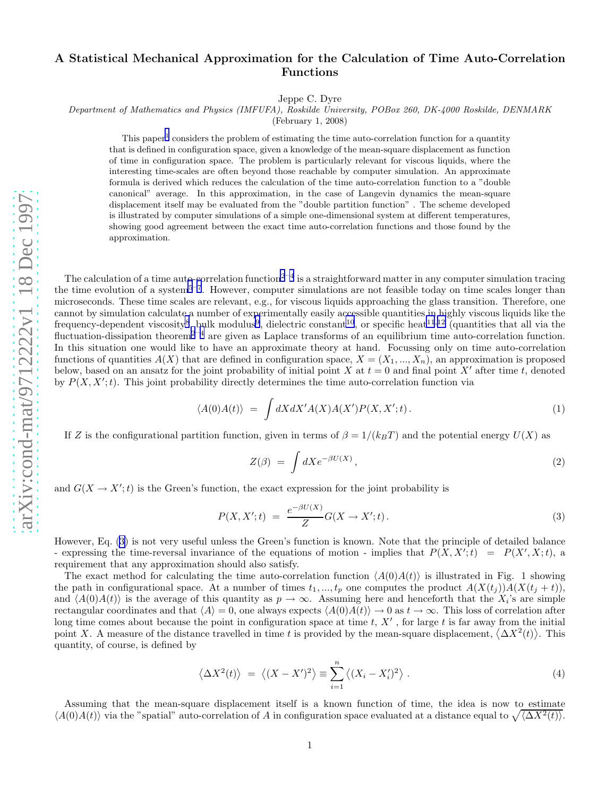## <span id="page-0-0"></span>A Statistical Mechanical Approximation for the Calculation of Time Auto-Correlation Functions

Jeppe C. Dyre

Department of Mathematics and Physics (IMFUFA), Roskilde University, POBox 260, DK-4000 Roskilde, DENMARK

(February 1, 2008)

This paper<sup>[1](#page-4-0)</sup> considers the problem of estimating the time auto-correlation function for a quantity that is defined in configuration space, given a knowledge of the mean-square displacement as function of time in configuration space. The problem is particularly relevant for viscous liquids, where the interesting time-scales are often beyond those reachable by computer simulation. An approximate formula is derived which reduces the calculation of the time auto-correlation function to a "double canonical" average. In this approximation, in the case of Langevin dynamics the mean-square displacement itself may be evaluated from the "double partition function" . The scheme developed is illustrated by computer simulations of a simple one-dimensional system at different temperatures, showing good agreement between the exact time auto-correlation functions and those found by the approximation.

The calculation of a time auto-correlation function<sup>[2](#page-4-0)-[4](#page-4-0)</sup> is a straightforward matter in any computer simulation tracing the time evolution of a system<sup>[5](#page-4-0)-[7](#page-4-0)</sup>. However, computer simulations are not feasible today on time scales longer than microseconds. These time scales are relevant, e.g., for viscous liquids approaching the glass transition. Therefore, one cannot by simulation calculate a number of experimentally easily accessible quantities in highly viscous liquids like the frequency-dependent viscosity<sup>[8](#page-4-0)</sup>, bulk modulus<sup>[9](#page-4-0)</sup>, dielectric constant<sup>[10](#page-4-0)</sup>, or specific heat<sup>[11](#page-4-0),[12](#page-4-0)</sup> (quantities that all via the fluctuation-dissipation theorem<sup>[2](#page-4-0)-[4](#page-4-0)</sup> are given as Laplace transforms of an equilibrium time auto-correlation function. In this situation one would like to have an approximate theory at hand. Focussing only on time auto-correlation functions of quantities  $A(X)$  that are defined in configuration space,  $X = (X_1, ..., X_n)$ , an approximation is proposed below, based on an ansatz for the joint probability of initial point X at  $t = 0$  and final point X' after time t, denoted by  $P(X, X';t)$ . This joint probability directly determines the time auto-correlation function via

$$
\langle A(0)A(t) \rangle = \int dX dX' A(X) A(X') P(X, X'; t).
$$
 (1)

If Z is the configurational partition function, given in terms of  $\beta = 1/(k_B T)$  and the potential energy  $U(X)$  as

$$
Z(\beta) = \int dX e^{-\beta U(X)}, \qquad (2)
$$

and  $G(X \to X';t)$  is the Green's function, the exact expression for the joint probability is

$$
P(X, X'; t) = \frac{e^{-\beta U(X)}}{Z} G(X \to X'; t).
$$
\n(3)

However, Eq. (3) is not very useful unless the Green's function is known. Note that the principle of detailed balance - expressing the time-reversal invariance of the equations of motion - implies that  $P(X, X';t) = P(X', X; t)$ , a requirement that any approximation should also satisfy.

The exact method for calculating the time auto-correlation function  $\langle A(0)A(t)\rangle$  is illustrated in Fig. 1 showing the path in configurational space. At a number of times  $t_1, ..., t_p$  one computes the product  $A(X(t_j))A(X(t_j + t))$ , and  $\langle A(0)A(t)\rangle$  is the average of this quantity as  $p\to\infty$ . Assuming here and henceforth that the  $X_i$ 's are simple rectangular coordinates and that  $\langle A \rangle = 0$ , one always expects  $\langle A(0)A(t) \rangle \to 0$  as  $t \to \infty$ . This loss of correlation after long time comes about because the point in configuration space at time t,  $X'$ , for large t is far away from the initial point X. A measure of the distance travelled in time t is provided by the mean-square displacement,  $\langle \Delta X^2(t) \rangle$ . This quantity, of course, is defined by

$$
\langle \Delta X^2(t) \rangle = \langle (X - X')^2 \rangle \equiv \sum_{i=1}^n \langle (X_i - X'_i)^2 \rangle . \tag{4}
$$

Assuming that the mean-square displacement itself is a known function of time, the idea is now to estimate  $\langle A(0)A(t)\rangle$  via the "spatial" auto-correlation of A in configuration space evaluated at a distance equal to  $\sqrt{\langle \Delta X^2(t)\rangle}$ .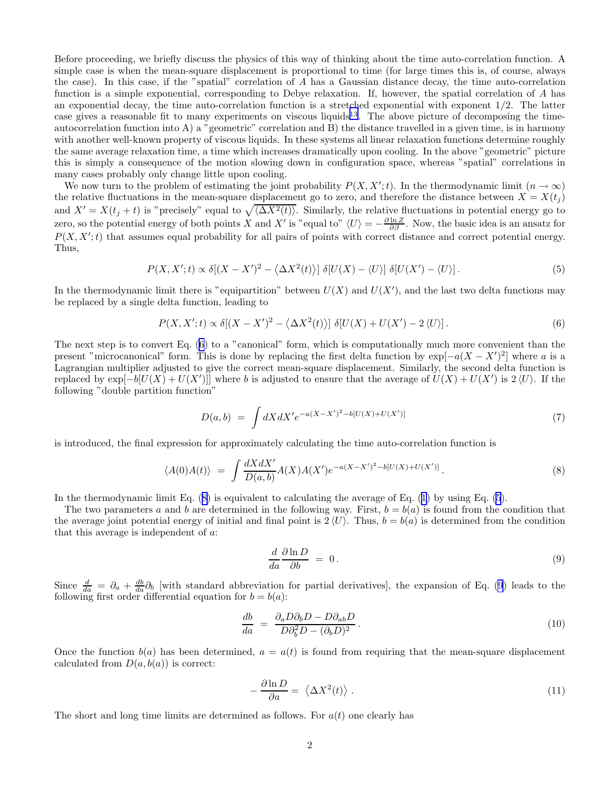<span id="page-1-0"></span>Before proceeding, we briefly discuss the physics of this way of thinking about the time auto-correlation function. A simple case is when the mean-square displacement is proportional to time (for large times this is, of course, always the case). In this case, if the "spatial" correlation of A has a Gaussian distance decay, the time auto-correlation function is a simple exponential, corresponding to Debye relaxation. If, however, the spatial correlation of A has an exponential decay, the time auto-correlation function is a stretched exponential with exponent  $1/2$ . The latter case gives a reasonable fit to many experiments on viscous liquids<sup>[13](#page-4-0)</sup>. The above picture of decomposing the timeautocorrelation function into A) a "geometric" correlation and B) the distance travelled in a given time, is in harmony with another well-known property of viscous liquids. In these systems all linear relaxation functions determine roughly the same average relaxation time, a time which increases dramatically upon cooling. In the above "geometric" picture this is simply a consequence of the motion slowing down in configuration space, whereas "spatial" correlations in many cases probably only change little upon cooling.

We now turn to the problem of estimating the joint probability  $P(X, X';t)$ . In the thermodynamic limit  $(n \to \infty)$ the relative fluctuations in the mean-square displacement go to zero, and therefore the distance between  $X = X(t_i)$ and  $X' = X(t_j + t)$  is "precisely" equal to  $\sqrt{\langle \Delta X^2(t) \rangle}$ . Similarly, the relative fluctuations in potential energy go to zero, so the potential energy of both points X and X' is "equal to"  $\langle U \rangle = -\frac{\partial \ln Z}{\partial \beta}$ . Now, the basic idea is an ansatz for  $P(X, X';t)$  that assumes equal probability for all pairs of points with correct distance and correct potential energy. Thus,

$$
P(X, X';t) \propto \delta[(X - X')^2 - \langle \Delta X^2(t) \rangle] \delta[U(X) - \langle U \rangle] \delta[U(X') - \langle U \rangle]. \tag{5}
$$

In the thermodynamic limit there is "equipartition" between  $U(X)$  and  $U(X')$ , and the last two delta functions may be replaced by a single delta function, leading to

$$
P(X, X';t) \propto \delta[(X - X')^2 - \langle \Delta X^2(t) \rangle] \delta[U(X) + U(X') - 2\langle U \rangle]. \tag{6}
$$

The next step is to convert Eq. (6) to a "canonical" form, which is computationally much more convenient than the present "microcanonical" form. This is done by replacing the first delta function by  $\exp[-a(X - X')^2]$  where a is a Lagrangian multiplier adjusted to give the correct mean-square displacement. Similarly, the second delta function is replaced by  $\exp[-b[U(X) + U(X')]$  where b is adjusted to ensure that the average of  $U(X) + U(X')$  is  $2\langle U \rangle$ . If the following "double partition function"

$$
D(a,b) = \int dX dX' e^{-a(X-X')^2 - b[U(X) + U(X')]}\tag{7}
$$

is introduced, the final expression for approximately calculating the time auto-correlation function is

$$
\langle A(0)A(t) \rangle = \int \frac{dX dX'}{D(a,b)} A(X) A(X') e^{-a(X-X')^2 - b[U(X) + U(X')]}. \tag{8}
$$

In the thermodynamic limit Eq. (8) is equivalent to calculating the average of Eq. [\(1](#page-0-0)) by using Eq. (5).

The two parameters a and b are determined in the following way. First,  $b = b(a)$  is found from the condition that the average joint potential energy of initial and final point is  $2 \langle U \rangle$ . Thus,  $b = b(a)$  is determined from the condition that this average is independent of a:

$$
\frac{d}{da}\frac{\partial \ln D}{\partial b} = 0.
$$
\n(9)

Since  $\frac{d}{da} = \partial_a + \frac{db}{da} \partial_b$  [with standard abbreviation for partial derivatives], the expansion of Eq. (9) leads to the following first order differential equation for  $b = b(a)$ :

$$
\frac{db}{da} = \frac{\partial_a D \partial_b D - D \partial_{ab} D}{D \partial_b^2 D - (\partial_b D)^2}.
$$
\n(10)

Once the function  $b(a)$  has been determined,  $a = a(t)$  is found from requiring that the mean-square displacement calculated from  $D(a, b(a))$  is correct:

$$
-\frac{\partial \ln D}{\partial a} = \langle \Delta X^2(t) \rangle . \tag{11}
$$

The short and long time limits are determined as follows. For  $a(t)$  one clearly has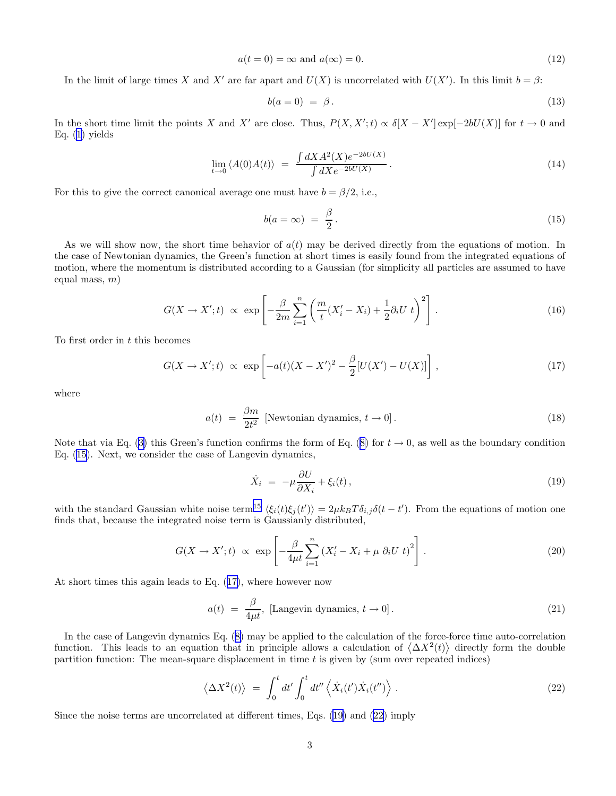$$
a(t=0) = \infty \text{ and } a(\infty) = 0. \tag{12}
$$

In the limit of large times X and X' are far apart and  $U(X)$  is uncorrelated with  $U(X')$ . In this limit  $b = \beta$ :

$$
b(a=0) = \beta. \tag{13}
$$

In the short time limit the points X and X' are close. Thus,  $P(X, X'; t) \propto \delta[X - X'] \exp[-2bU(X)]$  for  $t \to 0$  and Eq.  $(1)$  $(1)$  yields

$$
\lim_{t \to 0} \langle A(0)A(t) \rangle = \frac{\int dX A^2(X) e^{-2bU(X)}}{\int dX e^{-2bU(X)}}.
$$
\n(14)

For this to give the correct canonical average one must have  $b = \beta/2$ , i.e.,

$$
b(a=\infty) = \frac{\beta}{2}.
$$
\n(15)

As we will show now, the short time behavior of  $a(t)$  may be derived directly from the equations of motion. In the case of Newtonian dynamics, the Green's function at short times is easily found from the integrated equations of motion, where the momentum is distributed according to a Gaussian (for simplicity all particles are assumed to have equal mass,  $m$ )

$$
G(X \to X';t) \propto \exp\left[-\frac{\beta}{2m} \sum_{i=1}^{n} \left(\frac{m}{t}(X'_i - X_i) + \frac{1}{2}\partial_i U \ t\right)^2\right].
$$
 (16)

To first order in  $t$  this becomes

$$
G(X \to X';t) \propto \exp\left[-a(t)(X - X')^2 - \frac{\beta}{2}[U(X') - U(X)]\right],
$$
\n(17)

where

$$
a(t) = \frac{\beta m}{2t^2} \text{ [Newtonian dynamics, } t \to 0]. \tag{18}
$$

Note that via Eq. ([3\)](#page-0-0) this Green's function confirms the form of Eq. ([8\)](#page-1-0) for  $t \to 0$ , as well as the boundary condition Eq. (15). Next, we consider the case of Langevin dynamics,

$$
\dot{X}_i = -\mu \frac{\partial U}{\partial X_i} + \xi_i(t),\tag{19}
$$

with the standard Gaussian white noise term<sup>[15](#page-4-0)</sup>  $\langle \xi_i(t)\xi_j(t')\rangle = 2\mu k_BT \delta_{i,j}\delta(t-t')$ . From the equations of motion one finds that, because the integrated noise term is Gaussianly distributed,

$$
G(X \to X';t) \propto \exp\left[-\frac{\beta}{4\mu t} \sum_{i=1}^{n} \left(X'_i - X_i + \mu \partial_i U \ t\right)^2\right].
$$
 (20)

At short times this again leads to Eq. (17), where however now

$$
a(t) = \frac{\beta}{4\mu t}, \text{ [Langevin dynamics, } t \to 0]. \tag{21}
$$

In the case of Langevin dynamics Eq. ([8\)](#page-1-0) may be applied to the calculation of the force-force time auto-correlation function. This leads to an equation that in principle allows a calculation of  $\langle \Delta X^2(t) \rangle$  directly form the double partition function: The mean-square displacement in time  $t$  is given by (sum over repeated indices)

$$
\langle \Delta X^2(t) \rangle = \int_0^t dt' \int_0^t dt'' \langle \dot{X}_i(t') \dot{X}_i(t'') \rangle . \tag{22}
$$

Since the noise terms are uncorrelated at different times, Eqs. (19) and (22) imply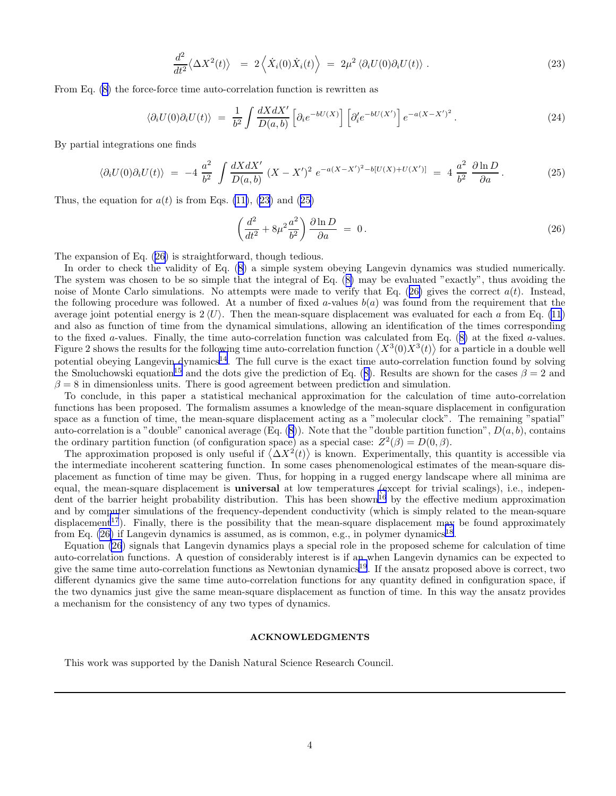$$
\frac{d^2}{dt^2} \langle \Delta X^2(t) \rangle = 2 \left\langle \dot{X}_i(0) \dot{X}_i(t) \right\rangle = 2\mu^2 \left\langle \partial_i U(0) \partial_i U(t) \right\rangle. \tag{23}
$$

From Eq. [\(8](#page-1-0)) the force-force time auto-correlation function is rewritten as

$$
\langle \partial_i U(0) \partial_i U(t) \rangle = \frac{1}{b^2} \int \frac{dX dX'}{D(a, b)} \left[ \partial_i e^{-bU(X)} \right] \left[ \partial'_i e^{-bU(X')} \right] e^{-a(X - X')^2} . \tag{24}
$$

By partial integrations one finds

$$
\langle \partial_i U(0) \partial_i U(t) \rangle = -4 \frac{a^2}{b^2} \int \frac{dX dX'}{D(a, b)} (X - X')^2 e^{-a(X - X')^2 - b[U(X) + U(X')] } = 4 \frac{a^2}{b^2} \frac{\partial \ln D}{\partial a}.
$$
 (25)

Thus, the equation for  $a(t)$  is from Eqs. [\(11\)](#page-1-0), (23) and (25)

$$
\left(\frac{d^2}{dt^2} + 8\mu^2 \frac{a^2}{b^2}\right) \frac{\partial \ln D}{\partial a} = 0.
$$
\n(26)

The expansion of Eq. (26) is straightforward, though tedious.

In order to check the validity of Eq. ([8\)](#page-1-0) a simple system obeying Langevin dynamics was studied numerically. The system was chosen to be so simple that the integral of Eq. ([8\)](#page-1-0) may be evaluated "exactly", thus avoiding the noise of Monte Carlo simulations. No attempts were made to verify that Eq. (26) gives the correct  $a(t)$ . Instead, the following procedure was followed. At a number of fixed a-values  $b(a)$  was found from the requirement that the average joint potential energy is  $2 \langle U \rangle$ . Then the mean-square displacement was evaluated for each a from Eq. [\(11](#page-1-0)) and also as function of time from the dynamical simulations, allowing an identification of the times corresponding to the fixed a-values. Finally, the time auto-correlation function was calculated from Eq.  $(8)$  $(8)$  at the fixed a-values. Figure 2 shows the results for the following time auto-correlation function  $\langle X^3(0)X^3(t)\rangle$  for a particle in a double well potential obeying Langevin dynamics<sup>[14](#page-4-0)</sup>. The full curve is the exact time auto-correlation function found by solving the Smoluchowski equation<sup>[15](#page-4-0)</sup> and the dots give the prediction of Eq. ([8\)](#page-1-0). Results are shown for the cases  $\beta = 2$  and  $\beta = 8$  in dimensionless units. There is good agreement between prediction and simulation.

To conclude, in this paper a statistical mechanical approximation for the calculation of time auto-correlation functions has been proposed. The formalism assumes a knowledge of the mean-square displacement in configuration space as a function of time, the mean-square displacement acting as a "molecular clock". The remaining "spatial" auto-correlation is a "double" canonical average  $(E_q. (8))$  $(E_q. (8))$  $(E_q. (8))$ . Note that the "double partition function",  $D(a, b)$ , contains the ordinary partition function (of configuration space) as a special case:  $Z^2(\beta) = D(0, \beta)$ .

The approximation proposed is only useful if  $\langle \Delta X^2(t) \rangle$  is known. Experimentally, this quantity is accessible via the intermediate incoherent scattering function. In some cases phenomenological estimates of the mean-square displacement as function of time may be given. Thus, for hopping in a rugged energy landscape where all minima are equal, the mean-square displacement is **universal** at low temperatures (except for trivial scalings), i.e., indepen-dent of the barrier height probability distribution. This has been shown<sup>[16](#page-4-0)</sup> by the effective medium approximation and by computer simulations of the frequency-dependent conductivity (which is simply related to the mean-square displacement<sup>[17](#page-4-0)</sup>). Finally, there is the possibility that the mean-square displacement may be found approximately from Eq.  $(26)$  if Langevin dynamics is assumed, as is common, e.g., in polymer dynamics<sup>[18](#page-4-0)</sup>.

Equation (26) signals that Langevin dynamics plays a special role in the proposed scheme for calculation of time auto-correlation functions. A question of considerably interest is if an when Langevin dynamics can be expected to give the same time auto-correlation functions as Newtonian dynamics<sup>[19](#page-4-0)</sup>. If the ansatz proposed above is correct, two different dynamics give the same time auto-correlation functions for any quantity defined in configuration space, if the two dynamics just give the same mean-square displacement as function of time. In this way the ansatz provides a mechanism for the consistency of any two types of dynamics.

## ACKNOWLEDGMENTS

This work was supported by the Danish Natural Science Research Council.